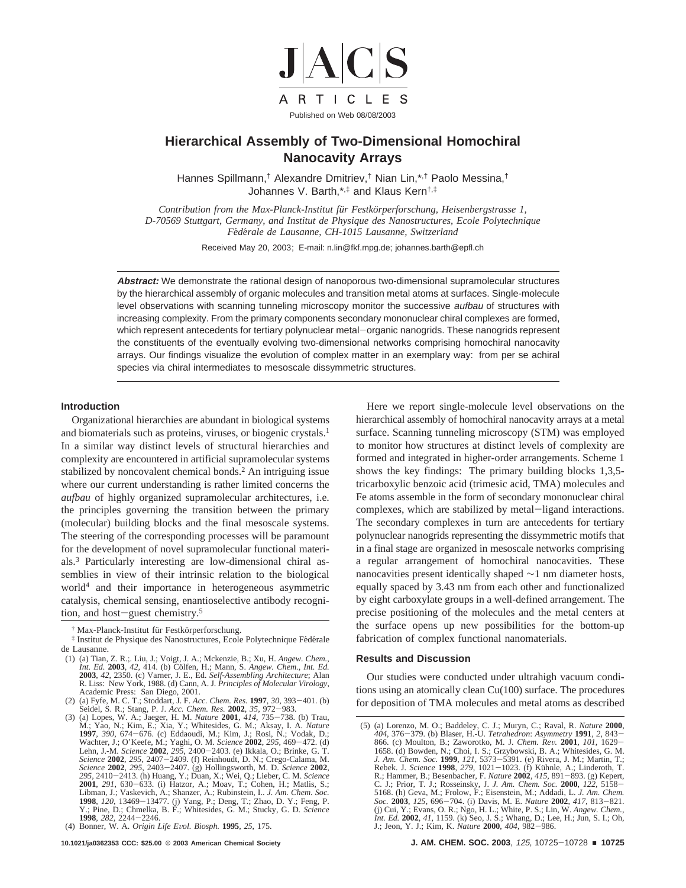

# **Hierarchical Assembly of Two-Dimensional Homochiral Nanocavity Arrays**

Hannes Spillmann,† Alexandre Dmitriev,† Nian Lin,\*,† Paolo Messina,† Johannes V. Barth,\*,‡ and Klaus Kern†,‡

*Contribution from the Max-Planck-Institut fu¨r Festko¨rperforschung, Heisenbergstrasse 1, D-70569 Stuttgart, Germany, and Institut de Physique des Nanostructures, Ecole Polytechnique Fe*´*de*´*rale de Lausanne, CH-1015 Lausanne, Switzerland*

Received May 20, 2003; E-mail: n.lin@fkf.mpg.de; johannes.barth@epfl.ch

**Abstract:** We demonstrate the rational design of nanoporous two-dimensional supramolecular structures by the hierarchical assembly of organic molecules and transition metal atoms at surfaces. Single-molecule level observations with scanning tunneling microscopy monitor the successive aufbau of structures with increasing complexity. From the primary components secondary mononuclear chiral complexes are formed, which represent antecedents for tertiary polynuclear metal-organic nanogrids. These nanogrids represent the constituents of the eventually evolving two-dimensional networks comprising homochiral nanocavity arrays. Our findings visualize the evolution of complex matter in an exemplary way: from per se achiral species via chiral intermediates to mesoscale dissymmetric structures.

#### **Introduction**

Organizational hierarchies are abundant in biological systems and biomaterials such as proteins, viruses, or biogenic crystals.<sup>1</sup> In a similar way distinct levels of structural hierarchies and complexity are encountered in artificial supramolecular systems stabilized by noncovalent chemical bonds.<sup>2</sup> An intriguing issue where our current understanding is rather limited concerns the *aufbau* of highly organized supramolecular architectures, i.e. the principles governing the transition between the primary (molecular) building blocks and the final mesoscale systems. The steering of the corresponding processes will be paramount for the development of novel supramolecular functional materials.3 Particularly interesting are low-dimensional chiral assemblies in view of their intrinsic relation to the biological world4 and their importance in heterogeneous asymmetric catalysis, chemical sensing, enantioselective antibody recognition, and host-guest chemistry.<sup>5</sup>

<sup>†</sup> Max-Planck-Institut für Festkörperforschung.

<sup>‡</sup> Institut de Physique des Nanostructures, Ecole Polytechnique Fédérale de Lausanne.

Here we report single-molecule level observations on the hierarchical assembly of homochiral nanocavity arrays at a metal surface. Scanning tunneling microscopy (STM) was employed to monitor how structures at distinct levels of complexity are formed and integrated in higher-order arrangements. Scheme 1 shows the key findings: The primary building blocks 1,3,5 tricarboxylic benzoic acid (trimesic acid, TMA) molecules and Fe atoms assemble in the form of secondary mononuclear chiral complexes, which are stabilized by metal-ligand interactions. The secondary complexes in turn are antecedents for tertiary polynuclear nanogrids representing the dissymmetric motifs that in a final stage are organized in mesoscale networks comprising a regular arrangement of homochiral nanocavities. These nanocavities present identically shaped ∼1 nm diameter hosts, equally spaced by 3.43 nm from each other and functionalized by eight carboxylate groups in a well-defined arrangement. The precise positioning of the molecules and the metal centers at the surface opens up new possibilities for the bottom-up fabrication of complex functional nanomaterials.

#### **Results and Discussion**

Our studies were conducted under ultrahigh vacuum conditions using an atomically clean Cu(100) surface. The procedures for deposition of TMA molecules and metal atoms as described

<sup>(1) (</sup>a) Tian, Z. R.;. Liu, J.; Voigt, J. A.; Mckenzie, B.; Xu, H. Angew. Chem., Int. Ed. 2003, 42, 414. (b) Cölfen, H.; Mann, S. Angew. Chem., Int. Ed. 2003, 42, 2350. (c) Varner, J. E., Ed. Self-Assembling Architecture; A R. Liss: New York, 1988. (d) Cann, A. J. *Principles of Molecular Virology*, Academic Press: San Diego, 2001.

<sup>(2) (</sup>a) Fyfe, M. C. T.; Stoddart, J. F. Acc. Chem. Res. **1997**, 30, 393–401. (b) Seidel, S. R.; Stang, P. J. Acc. Chem. Res. **2002**, 35, 972–983.<br>(3) (a) Lopes, W. A.; Jaeger, H. M. *Nature* **2001**, 414, 735–738. (b) Trau, **1997**, 390, 674–676. (c) Eddaoudi, M.; Kim, J.; Rosi, N.; Vodak, D.; Wachter, J.; O'Keefe, M.; Yaghi, O. M. *Science* **2002**, 295, 469–472. (d) Lehn, J.-M. *Science* **2002**, 295, 2400–2403. (e) Ikkala, O.; Brinke, G. T. Libman, J.; Vaskevich, A.; Shanzer, A.; Rubinstein, I.. *J. Am. Chem. Soc.* **<sup>1998</sup>**, *<sup>120</sup>*, 13469-13477. (j) Yang, P.; Deng, T.; Zhao, D. Y.; Feng, P. Y.; Pine, D.; Chmelka, B. F.; Whitesides, G. M.; Stucky, G. D*. Science* **<sup>1998</sup>**, *<sup>282</sup>*, 2244-2246. (4) Bonner, W. A. *Origin Life E*V*ol. Biosph.* **<sup>1995</sup>**, *<sup>25</sup>*, 175.

<sup>(5) (</sup>a) Lorenzo, M. O.; Baddeley, C. J.; Muryn, C.; Raval, R. *Nature* **<sup>2000</sup>**, *<sup>404</sup>*, 376-379. (b) Blaser, H.-U. *Tetrahedron*: *Asymmetry* **<sup>1991</sup>**, *<sup>2</sup>*, 843- 866. (c) Moulton, B.; Zaworotko, M. J. Chem. Rev. 2001, 101, 1629–1658. (d) Bowden, N.; Choi, I. S.; Grzybowski, B. A.; Whitesides, G. M.<br>1658. (d) Bowden, N.; Choi, I. S.; Grzybowski, B. A.; Whitesides, G. M.<br>Rebek. J. Sc Soc. 2003, 125, 696–704. (i) Davis, M. E. Nature 2002, 417, 813–821.<br>(j) Cui, Y.; Evans, O. R.; Ngo, H. L.; White, P. S.; Lin, W. Angew. Chem., Int. Ed. 2002, 41, 1159. (k) Seo, J. S.; Whang, D.; Lee, H.; Jun, S. I.; Oh, J.; Jeon, Y. J.; Kim, K. *Nature* **<sup>2000</sup>**, *<sup>404</sup>*, 982-986.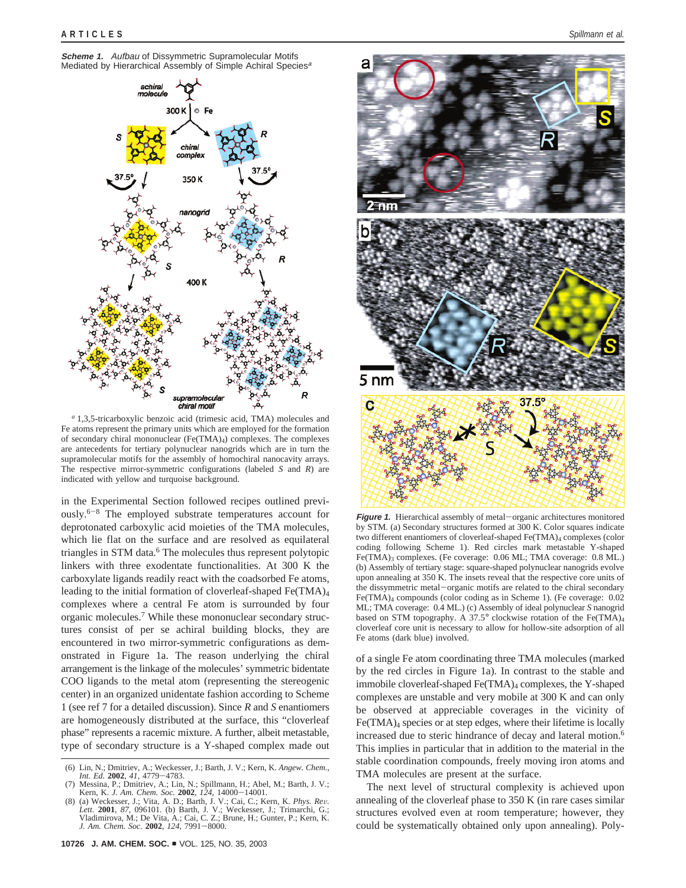



*<sup>a</sup>* 1,3,5-tricarboxylic benzoic acid (trimesic acid, TMA) molecules and Fe atoms represent the primary units which are employed for the formation of secondary chiral mononuclear (Fe(TMA)4) complexes. The complexes are antecedents for tertiary polynuclear nanogrids which are in turn the supramolecular motifs for the assembly of homochiral nanocavity arrays. The respective mirror-symmetric configurations (labeled *S* and *R*) are indicated with yellow and turquoise background.

in the Experimental Section followed recipes outlined previously.6-<sup>8</sup> The employed substrate temperatures account for deprotonated carboxylic acid moieties of the TMA molecules, which lie flat on the surface and are resolved as equilateral triangles in STM data.<sup>6</sup> The molecules thus represent polytopic linkers with three exodentate functionalities. At 300 K the carboxylate ligands readily react with the coadsorbed Fe atoms, leading to the initial formation of cloverleaf-shaped Fe(TMA)4 complexes where a central Fe atom is surrounded by four organic molecules.7 While these mononuclear secondary structures consist of per se achiral building blocks, they are encountered in two mirror-symmetric configurations as demonstrated in Figure 1a. The reason underlying the chiral arrangement is the linkage of the molecules' symmetric bidentate COO ligands to the metal atom (representing the stereogenic center) in an organized unidentate fashion according to Scheme 1 (see ref 7 for a detailed discussion). Since *R* and *S* enantiomers are homogeneously distributed at the surface, this "cloverleaf phase" represents a racemic mixture. A further, albeit metastable, type of secondary structure is a Y-shaped complex made out



**Figure 1.** Hierarchical assembly of metal-organic architectures monitored by STM. (a) Secondary structures formed at 300 K. Color squares indicate two different enantiomers of cloverleaf-shaped Fe(TMA)<sub>4</sub> complexes (color coding following Scheme 1). Red circles mark metastable Y-shaped Fe(TMA)3 complexes. (Fe coverage: 0.06 ML; TMA coverage: 0.8 ML.) (b) Assembly of tertiary stage: square-shaped polynuclear nanogrids evolve upon annealing at 350 K. The insets reveal that the respective core units of the dissymmetric metal-organic motifs are related to the chiral secondary Fe(TMA)4 compounds (color coding as in Scheme 1). (Fe coverage: 0.02 ML; TMA coverage: 0.4 ML.) (c) Assembly of ideal polynuclear *S* nanogrid based on STM topography. A 37.5° clockwise rotation of the Fe(TMA)<sub>4</sub> cloverleaf core unit is necessary to allow for hollow-site adsorption of all Fe atoms (dark blue) involved.

of a single Fe atom coordinating three TMA molecules (marked by the red circles in Figure 1a). In contrast to the stable and immobile cloverleaf-shaped Fe(TMA)<sub>4</sub> complexes, the Y-shaped complexes are unstable and very mobile at 300 K and can only be observed at appreciable coverages in the vicinity of Fe(TMA)4 species or at step edges, where their lifetime is locally increased due to steric hindrance of decay and lateral motion.<sup>6</sup> This implies in particular that in addition to the material in the stable coordination compounds, freely moving iron atoms and TMA molecules are present at the surface.

The next level of structural complexity is achieved upon annealing of the cloverleaf phase to 350 K (in rare cases similar structures evolved even at room temperature; however, they could be systematically obtained only upon annealing). Poly-

<sup>(6)</sup> Lin, N.; Dmitriev, A.; Weckesser, J.; Barth, J. V.; Kern, K. *Angew. Chem.*, *Int. Ed.* **<sup>2002</sup>**, *<sup>41</sup>*, 4779-4783.

Messina, P.; Dmitriev, A.; Lin, N.; Spillmann, H.; Abel, M.; Barth, J. V.; Kern, K. J. Am. Chem. Soc. 2002, 124, 14000-14001.

Kern, K. *J. Am. Chem. Soc.* **2002**,  $124$ ,  $14000-14001$ .<br>
(8) (a) Weckesser, J.; Vita, A. D.; Barth, J. V.; Cai, C.; Kern, K. *Phys. Rev.*<br> *Lett.* **2001**, 87, 096101. (b) Barth, J. V.; Weckesser, J.; Trimarchi, G.;<br>
Vla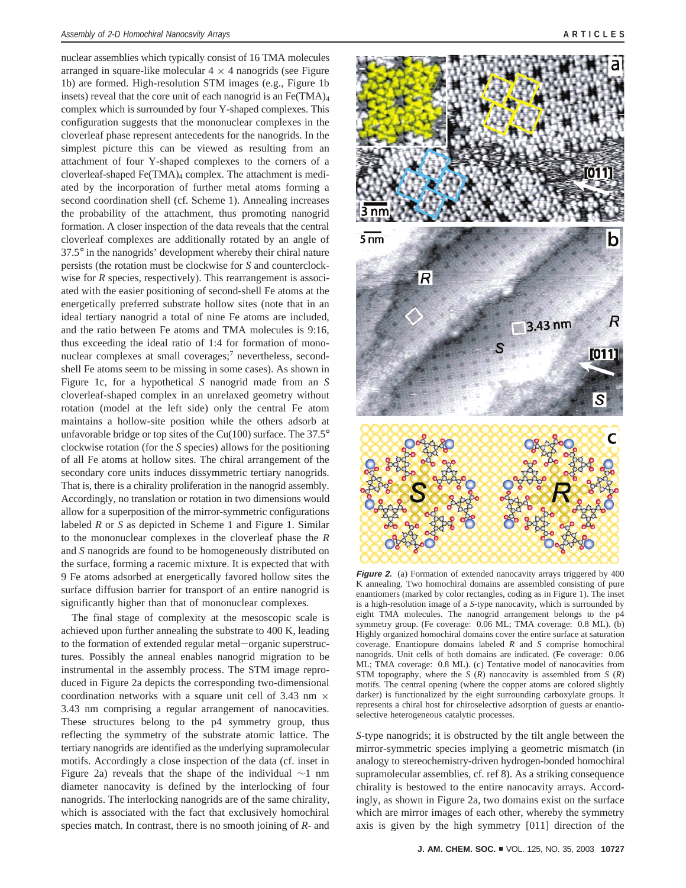nuclear assemblies which typically consist of 16 TMA molecules arranged in square-like molecular  $4 \times 4$  nanogrids (see Figure 1b) are formed. High-resolution STM images (e.g., Figure 1b insets) reveal that the core unit of each nanogrid is an  $Fe(TMA)_4$ complex which is surrounded by four Y-shaped complexes. This configuration suggests that the mononuclear complexes in the cloverleaf phase represent antecedents for the nanogrids. In the simplest picture this can be viewed as resulting from an attachment of four Y-shaped complexes to the corners of a cloverleaf-shaped  $Fe(TMA)<sub>4</sub>$  complex. The attachment is mediated by the incorporation of further metal atoms forming a second coordination shell (cf. Scheme 1). Annealing increases the probability of the attachment, thus promoting nanogrid formation. A closer inspection of the data reveals that the central cloverleaf complexes are additionally rotated by an angle of 37.5° in the nanogrids' development whereby their chiral nature persists (the rotation must be clockwise for *S* and counterclockwise for *R* species, respectively). This rearrangement is associated with the easier positioning of second-shell Fe atoms at the energetically preferred substrate hollow sites (note that in an ideal tertiary nanogrid a total of nine Fe atoms are included, and the ratio between Fe atoms and TMA molecules is 9:16, thus exceeding the ideal ratio of 1:4 for formation of mononuclear complexes at small coverages;<sup>7</sup> nevertheless, secondshell Fe atoms seem to be missing in some cases). As shown in Figure 1c, for a hypothetical *S* nanogrid made from an *S* cloverleaf-shaped complex in an unrelaxed geometry without rotation (model at the left side) only the central Fe atom maintains a hollow-site position while the others adsorb at unfavorable bridge or top sites of the Cu(100) surface. The  $37.5^{\circ}$ clockwise rotation (for the *S* species) allows for the positioning of all Fe atoms at hollow sites. The chiral arrangement of the secondary core units induces dissymmetric tertiary nanogrids. That is, there is a chirality proliferation in the nanogrid assembly. Accordingly, no translation or rotation in two dimensions would allow for a superposition of the mirror-symmetric configurations labeled *R* or *S* as depicted in Scheme 1 and Figure 1. Similar to the mononuclear complexes in the cloverleaf phase the *R* and *S* nanogrids are found to be homogeneously distributed on the surface, forming a racemic mixture. It is expected that with 9 Fe atoms adsorbed at energetically favored hollow sites the surface diffusion barrier for transport of an entire nanogrid is significantly higher than that of mononuclear complexes.

The final stage of complexity at the mesoscopic scale is achieved upon further annealing the substrate to 400 K, leading to the formation of extended regular metal-organic superstructures. Possibly the anneal enables nanogrid migration to be instrumental in the assembly process. The STM image reproduced in Figure 2a depicts the corresponding two-dimensional coordination networks with a square unit cell of 3.43 nm  $\times$ 3.43 nm comprising a regular arrangement of nanocavities. These structures belong to the p4 symmetry group, thus reflecting the symmetry of the substrate atomic lattice. The tertiary nanogrids are identified as the underlying supramolecular motifs. Accordingly a close inspection of the data (cf. inset in Figure 2a) reveals that the shape of the individual ∼1 nm diameter nanocavity is defined by the interlocking of four nanogrids. The interlocking nanogrids are of the same chirality, which is associated with the fact that exclusively homochiral species match. In contrast, there is no smooth joining of *R*- and



**Figure 2.** (a) Formation of extended nanocavity arrays triggered by 400 K annealing. Two homochiral domains are assembled consisting of pure enantiomers (marked by color rectangles, coding as in Figure 1). The inset is a high-resolution image of a *S*-type nanocavity, which is surrounded by eight TMA molecules. The nanogrid arrangement belongs to the p4 symmetry group. (Fe coverage: 0.06 ML; TMA coverage: 0.8 ML). (b) Highly organized homochiral domains cover the entire surface at saturation coverage. Enantiopure domains labeled *R* and *S* comprise homochiral nanogrids. Unit cells of both domains are indicated. (Fe coverage: 0.06 ML; TMA coverage: 0.8 ML). (c) Tentative model of nanocavities from STM topography, where the *S* (*R*) nanocavity is assembled from *S* (*R*) motifs. The central opening (where the copper atoms are colored slightly darker) is functionalized by the eight surrounding carboxylate groups. It represents a chiral host for chiroselective adsorption of guests ar enantioselective heterogeneous catalytic processes.

*S*-type nanogrids; it is obstructed by the tilt angle between the mirror-symmetric species implying a geometric mismatch (in analogy to stereochemistry-driven hydrogen-bonded homochiral supramolecular assemblies, cf. ref 8). As a striking consequence chirality is bestowed to the entire nanocavity arrays. Accordingly, as shown in Figure 2a, two domains exist on the surface which are mirror images of each other, whereby the symmetry axis is given by the high symmetry [011] direction of the